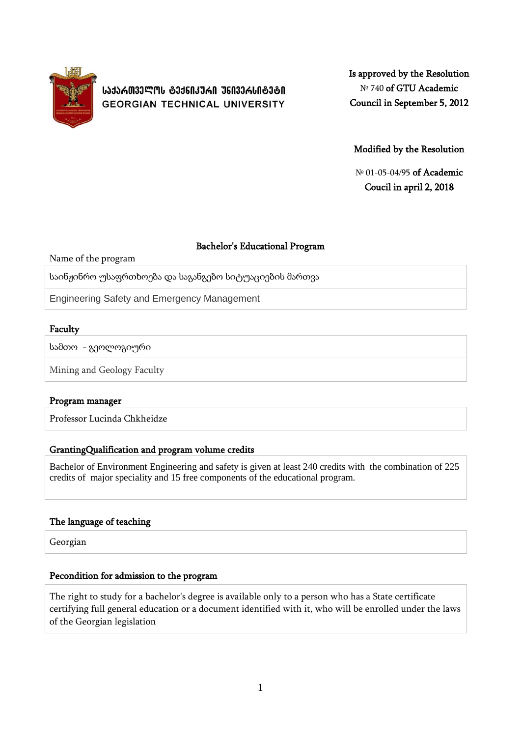

**ᲡᲐᲥᲐᲠᲗᲕᲔᲚᲝᲡ ᲢᲔᲥᲜᲘᲙᲣᲠᲘ ᲣᲜᲘᲕᲔᲠᲡᲘᲢᲔᲢᲘ GEORGIAN TECHNICAL UNIVERSITY**  Is approved by the Resolution № 740 of GTU Academic Council in September 5, 2012

Modified by the Resolution

№ 01-05-04/95 of Academic Coucil in april 2, 2018

## Bachelor's Educational Program

Name of the program

საინჟინრო უსაფრთხოება და საგანგებო სიტუაციების მართვა

Engineering Safety and Emergency Management

## Faculty

სამთო - გეოლოგიური

Mining and Geology Faculty

## Program manager

Professor Lucinda Chkheidze

## GrantingQualification and program volume credits

Bachelor of Environment Engineering and safety is given at least 240 credits with the combination of 225 credits of major speciality and 15 free components of the educational program.

## The language of teaching

Georgian

## Pecondition for admission to the program

The right to study for a bachelor's degree is available only to a person who has a State certificate certifying full general education or a document identified with it, who will be enrolled under the laws of the Georgian legislation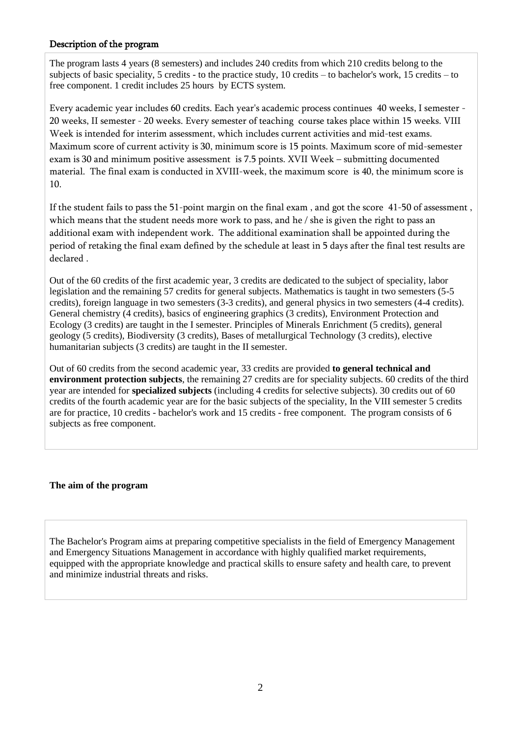## Description of the program

The program lasts 4 years (8 semesters) and includes 240 credits from which 210 credits belong to the subjects of basic speciality, 5 credits - to the practice study, 10 credits – to bachelor's work, 15 credits – to free component. 1 credit includes 25 hours by ECTS system.

Every academic year includes 60 credits. Each year's academic process continues 40 weeks, I semester - 20 weeks, II semester - 20 weeks. Every semester of teaching course takes place within 15 weeks. VIII Week is intended for interim assessment, which includes current activities and mid-test exams. Maximum score of current activity is 30, minimum score is 15 points. Maximum score of mid-semester exam is 30 and minimum positive assessment is 7.5 points. XVII Week – submitting documented material. The final exam is conducted in XVIII-week, the maximum score is 40, the minimum score is 10.

If the student fails to pass the 51-point margin on the final exam , and got the score 41-50 of assessment , which means that the student needs more work to pass, and he / she is given the right to pass an additional exam with independent work. The additional examination shall be appointed during the period of retaking the final exam defined by the schedule at least in 5 days after the final test results are declared .

Out of the 60 credits of the first academic year, 3 credits are dedicated to the subject of speciality, labor legislation and the remaining 57 credits for general subjects. Mathematics is taught in two semesters (5-5 credits), foreign language in two semesters (3-3 credits), and general physics in two semesters (4-4 credits). General chemistry (4 credits), basics of engineering graphics (3 credits), Environment Protection and Ecology (3 credits) are taught in the I semester. Principles of Minerals Enrichment (5 credits), general geology (5 credits), Biodiversity (3 credits), Bases of metallurgical Technology (3 credits), elective humanitarian subjects (3 credits) are taught in the II semester.

Out of 60 credits from the second academic year, 33 credits are provided **to general technical and environment protection subjects**, the remaining 27 credits are for speciality subjects. 60 credits of the third year are intended for **specialized subjects** (including 4 credits for selective subjects). 30 credits out of 60 credits of the fourth academic year are for the basic subjects of the speciality, In the VIII semester 5 credits are for practice, 10 credits - bachelor's work and 15 credits - free component. The program consists of 6 subjects as free component.

### **The aim of the program**

The Bachelor's Program aims at preparing competitive specialists in the field of Emergency Management and Emergency Situations Management in accordance with highly qualified market requirements, equipped with the appropriate knowledge and practical skills to ensure safety and health care, to prevent and minimize industrial threats and risks.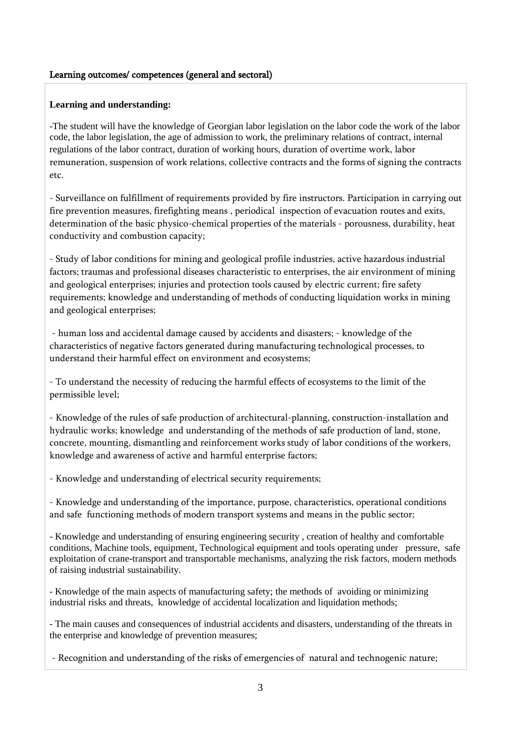### Learning outcomes/ competences (general and sectoral)

### **Learning and understanding:**

-The student will have the knowledge of Georgian labor legislation on the labor code the work of the labor code, the labor legislation, the age of admission to work, the preliminary relations of contract, internal regulations of the labor contract, duration of working hours, duration of overtime work, labor remuneration, suspension of work relations, collective contracts and the forms of signing the contracts etc.

- Surveillance on fulfillment of requirements provided by fire instructors. Participation in carrying out fire prevention measures, firefighting means , periodical inspection of evacuation routes and exits, determination of the basic physico-chemical properties of the materials - porousness, durability, heat conductivity and combustion capacity;

- Study of labor conditions for mining and geological profile industries, active hazardous industrial factors; traumas and professional diseases characteristic to enterprises, the air environment of mining and geological enterprises; injuries and protection tools caused by electric current; fire safety requirements; knowledge and understanding of methods of conducting liquidation works in mining and geological enterprises;

- human loss and accidental damage caused by accidents and disasters; - knowledge of the characteristics of negative factors generated during manufacturing technological processes, to understand their harmful effect on environment and ecosystems;

- To understand the necessity of reducing the harmful effects of ecosystems to the limit of the permissible level;

- Knowledge of the rules of safe production of architectural-planning, construction-installation and hydraulic works; knowledge and understanding of the methods of safe production of land, stone, concrete, mounting, dismantling and reinforcement works study of labor conditions of the workers, knowledge and awareness of active and harmful enterprise factors;

- Knowledge and understanding of electrical security requirements;

- Knowledge and understanding of the importance, purpose, characteristics, operational conditions and safe functioning methods of modern transport systems and means in the public sector;

- Knowledge and understanding of ensuring engineering security , creation of healthy and comfortable conditions, Machine tools, equipment, Technological equipment and tools operating under pressure, safe exploitation of crane-transport and transportable mechanisms, analyzing the risk factors, modern methods of raising industrial sustainability.

- Knowledge of the main aspects of manufacturing safety; the methods of avoiding or minimizing industrial risks and threats, knowledge of accidental localization and liquidation methods;

- The main causes and consequences of industrial accidents and disasters, understanding of the threats in the enterprise and knowledge of prevention measures;

- Recognition and understanding of the risks of emergencies of natural and technogenic nature;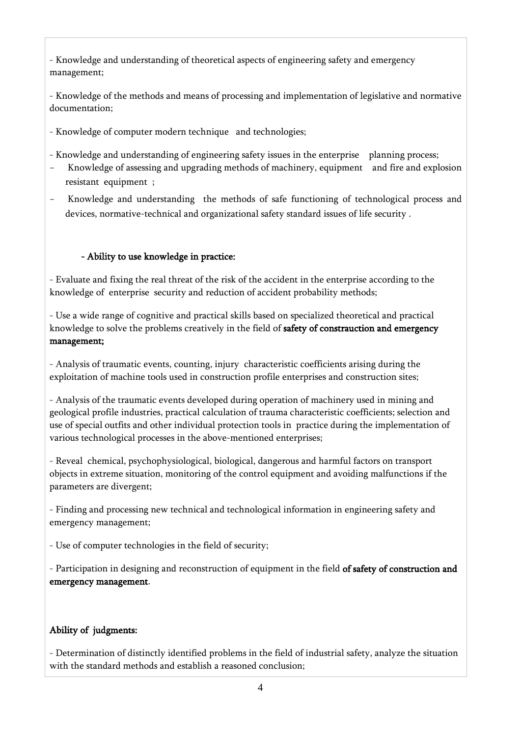- Knowledge and understanding of theoretical aspects of engineering safety and emergency management;

- Knowledge of the methods and means of processing and implementation of legislative and normative documentation;

- Knowledge of computer modern technique and technologies;

- Knowledge and understanding of engineering safety issues in the enterprise planning process;

- Knowledge of assessing and upgrading methods of machinery, equipment and fire and explosion resistant equipment ;
- Knowledge and understanding the methods of safe functioning of technological process and devices, normative-technical and organizational safety standard issues of life security .

# - Ability to use knowledge in practice:

- Evaluate and fixing the real threat of the risk of the accident in the enterprise according to the knowledge of enterprise security and reduction of accident probability methods;

- Use a wide range of cognitive and practical skills based on specialized theoretical and practical knowledge to solve the problems creatively in the field of safety of constrauction and emergency management;

- Analysis of traumatic events, counting, injury characteristic coefficients arising during the exploitation of machine tools used in construction profile enterprises and construction sites;

- Analysis of the traumatic events developed during operation of machinery used in mining and geological profile industries, practical calculation of trauma characteristic coefficients; selection and use of special outfits and other individual protection tools in practice during the implementation of various technological processes in the above-mentioned enterprises;

- Reveal chemical, psychophysiological, biological, dangerous and harmful factors on transport objects in extreme situation, monitoring of the control equipment and avoiding malfunctions if the parameters are divergent;

- Finding and processing new technical and technological information in engineering safety and emergency management;

- Use of computer technologies in the field of security;

- Participation in designing and reconstruction of equipment in the field of safety of construction and emergency management.

# Ability of judgments:

- Determination of distinctly identified problems in the field of industrial safety, analyze the situation with the standard methods and establish a reasoned conclusion;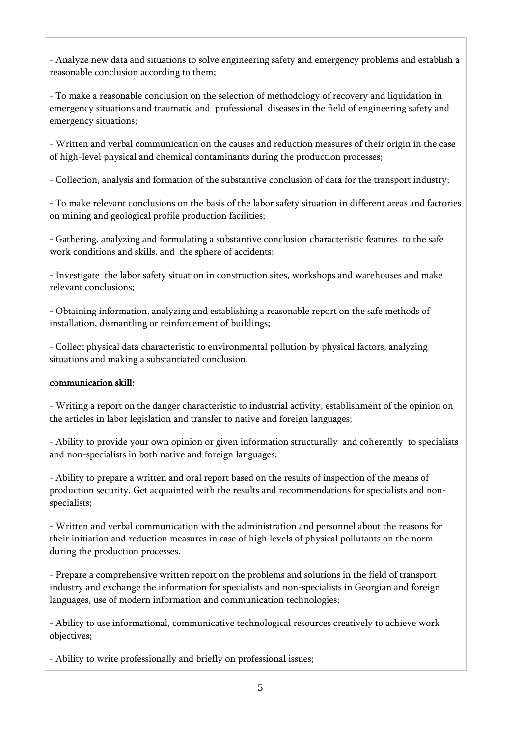- Analyze new data and situations to solve engineering safety and emergency problems and establish a reasonable conclusion according to them;

- To make a reasonable conclusion on the selection of methodology of recovery and liquidation in emergency situations and traumatic and professional diseases in the field of engineering safety and emergency situations;

- Written and verbal communication on the causes and reduction measures of their origin in the case of high-level physical and chemical contaminants during the production processes;

- Collection, analysis and formation of the substantive conclusion of data for the transport industry;

- To make relevant conclusions on the basis of the labor safety situation in different areas and factories on mining and geological profile production facilities;

- Gathering, analyzing and formulating a substantive conclusion characteristic features to the safe work conditions and skills, and the sphere of accidents;

- Investigate the labor safety situation in construction sites, workshops and warehouses and make relevant conclusions;

- Obtaining information, analyzing and establishing a reasonable report on the safe methods of installation, dismantling or reinforcement of buildings;

- Collect physical data characteristic to environmental pollution by physical factors, analyzing situations and making a substantiated conclusion.

# communication skill:

- Writing a report on the danger characteristic to industrial activity, establishment of the opinion on the articles in labor legislation and transfer to native and foreign languages;

- Ability to provide your own opinion or given information structurally and coherently to specialists and non-specialists in both native and foreign languages;

- Ability to prepare a written and oral report based on the results of inspection of the means of production security. Get acquainted with the results and recommendations for specialists and nonspecialists;

- Written and verbal communication with the administration and personnel about the reasons for their initiation and reduction measures in case of high levels of physical pollutants on the norm during the production processes.

- Prepare a comprehensive written report on the problems and solutions in the field of transport industry and exchange the information for specialists and non-specialists in Georgian and foreign languages, use of modern information and communication technologies;

- Ability to use informational, communicative technological resources creatively to achieve work objectives;

- Ability to write professionally and briefly on professional issues;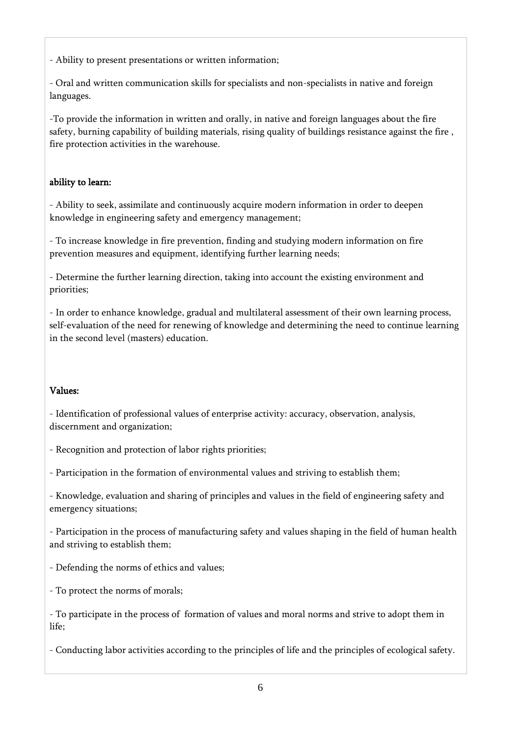- Ability to present presentations or written information;

- Oral and written communication skills for specialists and non-specialists in native and foreign languages.

-To provide the information in written and orally, in native and foreign languages about the fire safety, burning capability of building materials, rising quality of buildings resistance against the fire , fire protection activities in the warehouse.

# ability to learn:

- Ability to seek, assimilate and continuously acquire modern information in order to deepen knowledge in engineering safety and emergency management;

- To increase knowledge in fire prevention, finding and studying modern information on fire prevention measures and equipment, identifying further learning needs;

- Determine the further learning direction, taking into account the existing environment and priorities;

- In order to enhance knowledge, gradual and multilateral assessment of their own learning process, self-evaluation of the need for renewing of knowledge and determining the need to continue learning in the second level (masters) education.

# Values:

- Identification of professional values of enterprise activity: accuracy, observation, analysis, discernment and organization;

- Recognition and protection of labor rights priorities;
- Participation in the formation of environmental values and striving to establish them;
- Knowledge, evaluation and sharing of principles and values in the field of engineering safety and emergency situations;

- Participation in the process of manufacturing safety and values shaping in the field of human health and striving to establish them;

- Defending the norms of ethics and values;
- To protect the norms of morals;

- To participate in the process of formation of values and moral norms and strive to adopt them in life;

- Conducting labor activities according to the principles of life and the principles of ecological safety.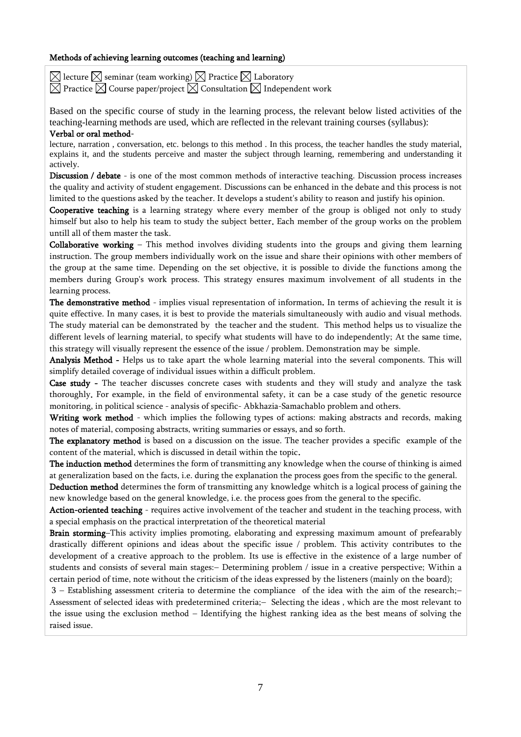#### Methods of achieving learning outcomes (teaching and learning)

 $\boxtimes$  lecture  $\boxtimes$  seminar (team working)  $\boxtimes$  Practice  $\boxtimes$  Laboratory  $\boxtimes$  Practice  $\boxtimes$  Course paper/project  $\boxtimes$  Consultation  $\boxtimes$  Independent work

Based on the specific course of study in the learning process, the relevant below listed activities of the teaching-learning methods are used, which are reflected in the relevant training courses (syllabus):

#### Verbal or oral method-

lecture, narration , conversation, etc. belongs to this method . In this process, the teacher handles the study material, explains it, and the students perceive and master the subject through learning, remembering and understanding it actively.

Discussion / debate - is one of the most common methods of interactive teaching. Discussion process increases the quality and activity of student engagement. Discussions can be enhanced in the debate and this process is not limited to the questions asked by the teacher. It develops a student's ability to reason and justify his opinion.

Cooperative teaching is a learning strategy where every member of the group is obliged not only to study himself but also to help his team to study the subject better. Each member of the group works on the problem untill all of them master the task.

**Collaborative working** – This method involves dividing students into the groups and giving them learning instruction. The group members individually work on the issue and share their opinions with other members of the group at the same time. Depending on the set objective, it is possible to divide the functions among the members during Group's work process. This strategy ensures maximum involvement of all students in the learning process.

The demonstrative method - implies visual representation of information. In terms of achieving the result it is quite effective. In many cases, it is best to provide the materials simultaneously with audio and visual methods. The study material can be demonstrated by the teacher and the student. This method helps us to visualize the different levels of learning material, to specify what students will have to do independently; At the same time, this strategy will visually represent the essence of the issue / problem. Demonstration may be simple.

Analysis Method - Helps us to take apart the whole learning material into the several components. This will simplify detailed coverage of individual issues within a difficult problem.

Case study - The teacher discusses concrete cases with students and they will study and analyze the task thoroughly. For example, in the field of environmental safety, it can be a case study of the genetic resource monitoring, in political science - analysis of specific- Abkhazia-Samachablo problem and others.

Writing work method - which implies the following types of actions: making abstracts and records, making notes of material, composing abstracts, writing summaries or essays, and so forth.

The explanatory method is based on a discussion on the issue. The teacher provides a specific example of the content of the material, which is discussed in detail within the topic.

The induction method determines the form of transmitting any knowledge when the course of thinking is aimed at generalization based on the facts, i.e. during the explanation the process goes from the specific to the general.

Deduction method determines the form of transmitting any knowledge whitch is a logical process of gaining the new knowledge based on the general knowledge, i.e. the process goes from the general to the specific.

Action-oriented teaching - requires active involvement of the teacher and student in the teaching process, with a special emphasis on the practical interpretation of the theoretical material

Brain storming–This activity implies promoting, elaborating and expressing maximum amount of prefearably drastically different opinions and ideas about the specific issue / problem. This activity contributes to the development of a creative approach to the problem. Its use is effective in the existence of a large number of students and consists of several main stages: - Determining problem / issue in a creative perspective; Within a certain period of time, note without the criticism of the ideas expressed by the listeners (mainly on the board);

3 Establishing assessment criteria to determine the compliance of the idea with the aim of the research; Assessment of selected ideas with predetermined criteria;- Selecting the ideas, which are the most relevant to the issue using the exclusion method - Identifying the highest ranking idea as the best means of solving the raised issue.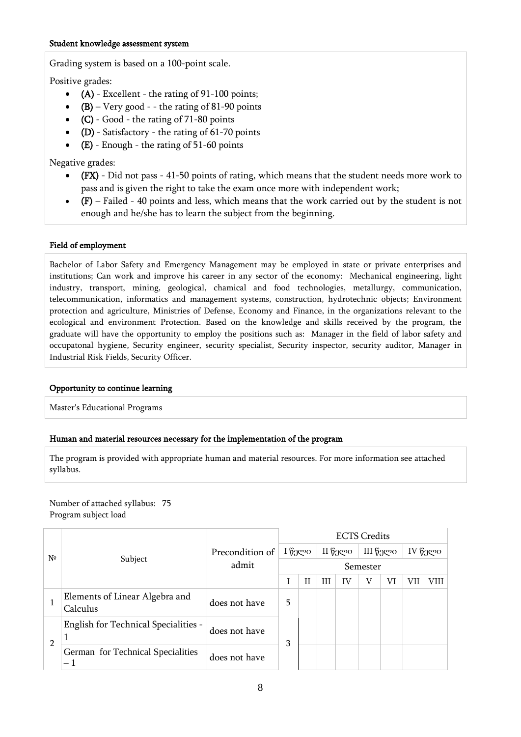Grading system is based on a 100-point scale.

Positive grades:

- $\bullet$  (A) Excellent the rating of 91-100 points;
- $(B)$  Very good - the rating of 81-90 points
- (C) Good the rating of 71-80 points
- $\bullet$  (D) Satisfactory the rating of 61-70 points
- (E) Enough the rating of 51-60 points

Negative grades:

- (FX) Did not pass 41-50 points of rating, which means that the student needs more work to pass and is given the right to take the exam once more with independent work;
- (F) Failed 40 points and less, which means that the work carried out by the student is not enough and he/she has to learn the subject from the beginning.

### Field of employment

Bachelor of Labor Safety and Emergency Management may be employed in state or private enterprises and institutions; Can work and improve his career in any sector of the economy: Mechanical engineering, light industry, transport, mining, geological, chamical and food technologies, metallurgy, communication, telecommunication, informatics and management systems, construction, hydrotechnic objects; Environment protection and agriculture, Ministries of Defense, Economy and Finance, in the organizations relevant to the ecological and environment Protection. Based on the knowledge and skills received by the program, the graduate will have the opportunity to employ the positions such as: Manager in the field of labor safety and occupatonal hygiene, Security engineer, security specialist, Security inspector, security auditor, Manager in Industrial Risk Fields, Security Officer.

### Opportunity to continue learning

Master's Educational Programs

### Human and material resources necessary for the implementation of the program

The program is provided with appropriate human and material resources. For more information see attached syllabus.

### Number of attached syllabus: 75 Program subject load

|                |                                                               |                 | <b>ECTS Credits</b> |              |   |         |          |    |         |      |  |  |  |
|----------------|---------------------------------------------------------------|-----------------|---------------------|--------------|---|---------|----------|----|---------|------|--|--|--|
| $N^{\circ}$    |                                                               | Precondition of | I წელი              |              |   | II წელი | III წელი |    | IV წელი |      |  |  |  |
|                | Subject                                                       | admit           | Semester            |              |   |         |          |    |         |      |  |  |  |
|                |                                                               |                 |                     | $\mathbf{H}$ | Ш | IV      | V        | VI | VH      | VIII |  |  |  |
|                | Elements of Linear Algebra and<br>Calculus                    | does not have   | 5                   |              |   |         |          |    |         |      |  |  |  |
|                | English for Technical Specialities -                          | does not have   | 3                   |              |   |         |          |    |         |      |  |  |  |
| $\mathfrak{p}$ | German for Technical Specialities<br>$\overline{\phantom{0}}$ | does not have   |                     |              |   |         |          |    |         |      |  |  |  |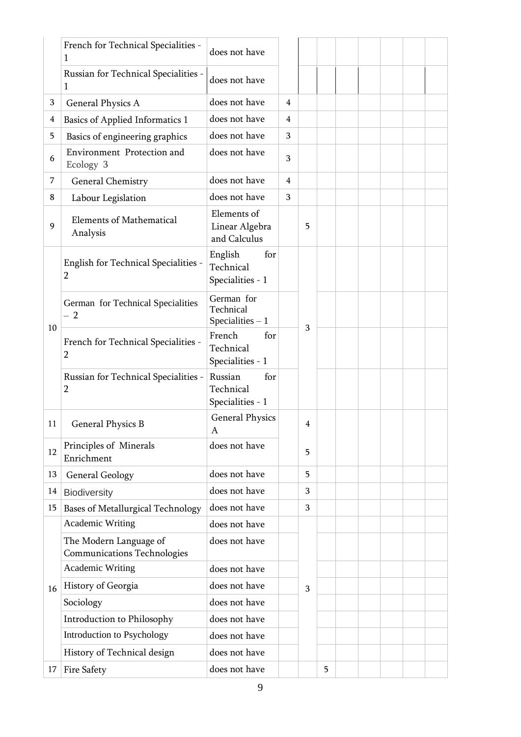|    | French for Technical Specialities -<br>1                     | does not have                                   |                |                |   |  |  |  |
|----|--------------------------------------------------------------|-------------------------------------------------|----------------|----------------|---|--|--|--|
|    | Russian for Technical Specialities -<br>1                    | does not have                                   |                |                |   |  |  |  |
| 3  | General Physics A                                            | does not have                                   | 4              |                |   |  |  |  |
| 4  | Basics of Applied Informatics 1                              | does not have                                   | 4              |                |   |  |  |  |
| 5  | Basics of engineering graphics                               | does not have                                   | 3              |                |   |  |  |  |
| 6  | Environment Protection and<br>Ecology 3                      | does not have                                   | 3              |                |   |  |  |  |
| 7  | <b>General Chemistry</b>                                     | does not have                                   | $\overline{4}$ |                |   |  |  |  |
| 8  | Labour Legislation                                           | does not have                                   | 3              |                |   |  |  |  |
| 9  | <b>Elements of Mathematical</b><br>Analysis                  | Elements of<br>Linear Algebra<br>and Calculus   |                | 5              |   |  |  |  |
|    | English for Technical Specialities -<br>2                    | English<br>for<br>Technical<br>Specialities - 1 |                |                |   |  |  |  |
|    | German for Technical Specialities<br>$-2$                    | German for<br>Technical<br>Specialities $-1$    |                |                |   |  |  |  |
| 10 | French for Technical Specialities -<br>2                     | French<br>for<br>Technical<br>Specialities - 1  |                | 3              |   |  |  |  |
|    | Russian for Technical Specialities -<br>2                    | Russian<br>for<br>Technical<br>Specialities - 1 |                |                |   |  |  |  |
| 11 | General Physics B                                            | <b>General Physics</b><br>Α                     |                | $\overline{4}$ |   |  |  |  |
| 12 | Principles of Minerals<br>Enrichment                         | does not have                                   |                | 5              |   |  |  |  |
| 13 | <b>General Geology</b>                                       | does not have                                   |                | 5              |   |  |  |  |
| 14 | <b>Biodiversity</b>                                          | does not have                                   |                | 3              |   |  |  |  |
| 15 | <b>Bases of Metallurgical Technology</b>                     | does not have                                   |                | 3              |   |  |  |  |
|    | <b>Academic Writing</b>                                      | does not have                                   |                |                |   |  |  |  |
|    | The Modern Language of<br><b>Communications Technologies</b> | does not have                                   |                |                |   |  |  |  |
|    | <b>Academic Writing</b>                                      | does not have                                   |                |                |   |  |  |  |
| 16 | History of Georgia                                           | does not have                                   |                | 3              |   |  |  |  |
|    | Sociology                                                    | does not have                                   |                |                |   |  |  |  |
|    | Introduction to Philosophy                                   | does not have                                   |                |                |   |  |  |  |
|    | Introduction to Psychology                                   | does not have                                   |                |                |   |  |  |  |
|    | History of Technical design                                  | does not have                                   |                |                |   |  |  |  |
| 17 | Fire Safety                                                  | does not have                                   |                |                | 5 |  |  |  |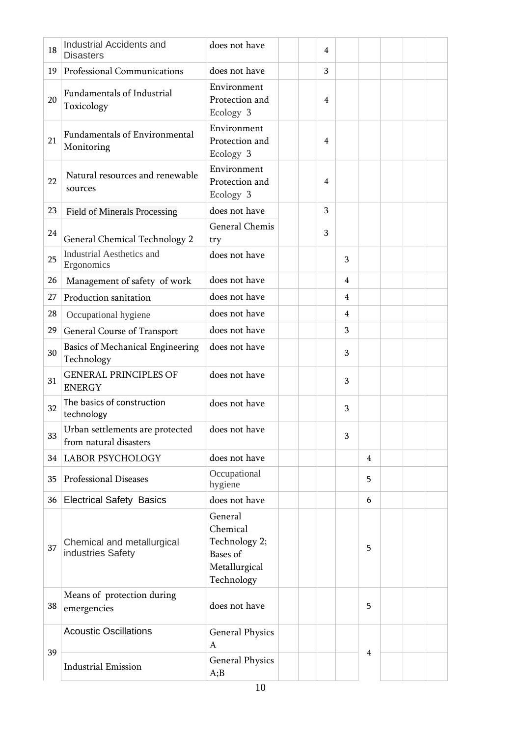| 18 | Industrial Accidents and<br><b>Disasters</b>              | does not have                                                                   | $\overline{4}$ |                |                |  |  |
|----|-----------------------------------------------------------|---------------------------------------------------------------------------------|----------------|----------------|----------------|--|--|
| 19 | Professional Communications                               | does not have                                                                   | 3              |                |                |  |  |
| 20 | Fundamentals of Industrial<br>Toxicology                  | Environment<br>Protection and<br>Ecology 3                                      | $\overline{4}$ |                |                |  |  |
| 21 | <b>Fundamentals of Environmental</b><br>Monitoring        | Environment<br>Protection and<br>Ecology 3                                      | 4              |                |                |  |  |
| 22 | Natural resources and renewable<br>sources                | Environment<br>Protection and<br>Ecology 3                                      | 4              |                |                |  |  |
| 23 | Field of Minerals Processing                              | does not have                                                                   | 3              |                |                |  |  |
| 24 | <b>General Chemical Technology 2</b>                      | General Chemis<br>try                                                           | 3              |                |                |  |  |
| 25 | <b>Industrial Aesthetics and</b><br>Ergonomics            | does not have                                                                   |                | 3              |                |  |  |
| 26 | Management of safety of work                              | does not have                                                                   |                | $\overline{4}$ |                |  |  |
| 27 | Production sanitation                                     | does not have                                                                   |                | $\overline{4}$ |                |  |  |
| 28 | Occupational hygiene                                      | does not have                                                                   |                | 4              |                |  |  |
| 29 | General Course of Transport                               | does not have                                                                   |                | 3              |                |  |  |
| 30 | Basics of Mechanical Engineering<br>Technology            | does not have                                                                   |                | 3              |                |  |  |
| 31 | <b>GENERAL PRINCIPLES OF</b><br><b>ENERGY</b>             | does not have                                                                   |                | 3              |                |  |  |
| 32 | The basics of construction<br>technology                  | does not have                                                                   |                | 3              |                |  |  |
| 33 | Urban settlements are protected<br>from natural disasters | does not have                                                                   |                | 3              |                |  |  |
|    | 34 LABOR PSYCHOLOGY                                       | does not have                                                                   |                |                | $\overline{4}$ |  |  |
| 35 | Professional Diseases                                     | Occupational<br>hygiene                                                         |                |                | 5              |  |  |
| 36 | <b>Electrical Safety Basics</b>                           | does not have                                                                   |                |                | 6              |  |  |
| 37 | Chemical and metallurgical<br>industries Safety           | General<br>Chemical<br>Technology 2;<br>Bases of<br>Metallurgical<br>Technology |                |                | 5              |  |  |
| 38 | Means of protection during<br>emergencies                 | does not have                                                                   |                |                | 5              |  |  |
|    | <b>Acoustic Oscillations</b>                              | <b>General Physics</b><br>A                                                     |                |                |                |  |  |
| 39 | <b>Industrial Emission</b>                                | <b>General Physics</b><br>A;B                                                   |                |                | 4              |  |  |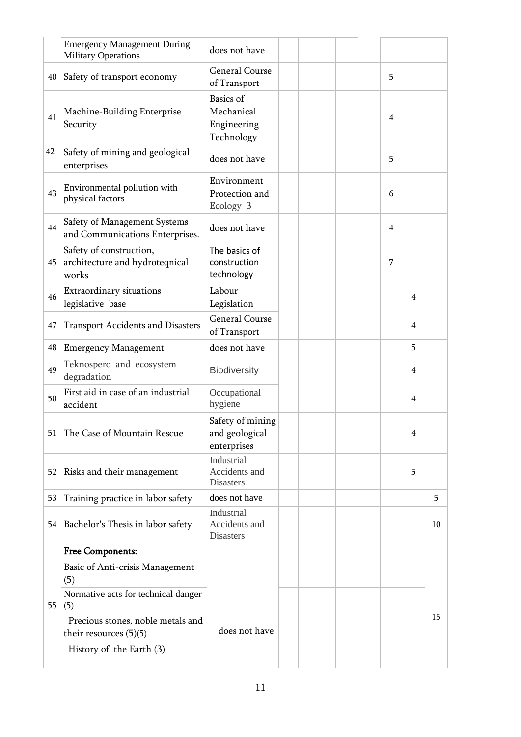|    | <b>Emergency Management During</b><br><b>Military Operations</b>   | does not have                                        |  |  |                |   |    |
|----|--------------------------------------------------------------------|------------------------------------------------------|--|--|----------------|---|----|
| 40 | Safety of transport economy                                        | <b>General Course</b><br>of Transport                |  |  | 5              |   |    |
| 41 | Machine-Building Enterprise<br>Security                            | Basics of<br>Mechanical<br>Engineering<br>Technology |  |  | 4              |   |    |
| 42 | Safety of mining and geological<br>enterprises                     | does not have                                        |  |  | 5              |   |    |
| 43 | Environmental pollution with<br>physical factors                   | Environment<br>Protection and<br>Ecology 3           |  |  | 6              |   |    |
| 44 | Safety of Management Systems<br>and Communications Enterprises.    | does not have                                        |  |  | $\overline{4}$ |   |    |
| 45 | Safety of construction,<br>architecture and hydroteqnical<br>works | The basics of<br>construction<br>technology          |  |  | 7              |   |    |
| 46 | Extraordinary situations<br>legislative base                       | Labour<br>Legislation                                |  |  |                | 4 |    |
| 47 | <b>Transport Accidents and Disasters</b>                           | <b>General Course</b><br>of Transport                |  |  |                | 4 |    |
| 48 | <b>Emergency Management</b>                                        | does not have                                        |  |  |                | 5 |    |
| 49 | Teknospero and ecosystem<br>degradation                            | <b>Biodiversity</b>                                  |  |  |                | 4 |    |
| 50 | First aid in case of an industrial<br>accident                     | Occupational<br>hygiene                              |  |  |                | 4 |    |
| 51 | The Case of Mountain Rescue                                        | Safety of mining<br>and geological<br>enterprises    |  |  |                | 4 |    |
| 52 | Risks and their management                                         | Industrial<br>Accidents and<br><b>Disasters</b>      |  |  |                | 5 |    |
| 53 | Training practice in labor safety                                  | does not have                                        |  |  |                |   | 5  |
| 54 | Bachelor's Thesis in labor safety                                  | Industrial<br>Accidents and<br>Disasters             |  |  |                |   | 10 |
|    | <b>Free Components:</b>                                            |                                                      |  |  |                |   |    |
|    | Basic of Anti-crisis Management<br>(5)                             |                                                      |  |  |                |   |    |
| 55 | Normative acts for technical danger<br>(5)                         |                                                      |  |  |                |   |    |
|    | Precious stones, noble metals and<br>their resources $(5)(5)$      | does not have                                        |  |  |                |   | 15 |
|    | History of the Earth (3)                                           |                                                      |  |  |                |   |    |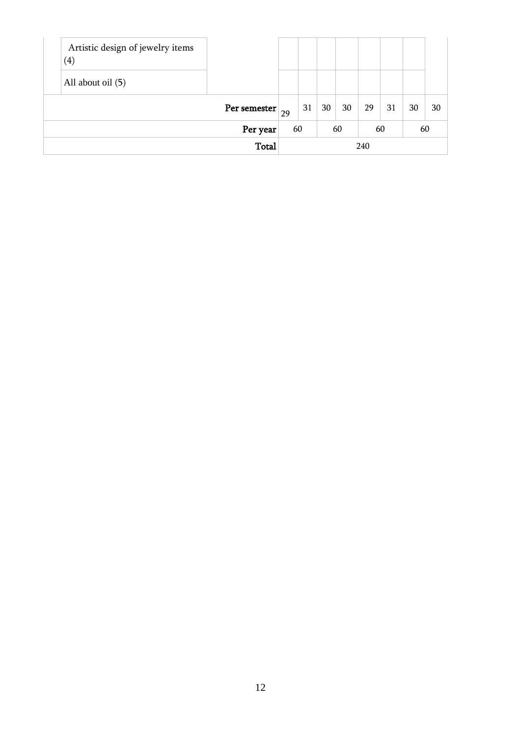| Artistic design of jewelry items<br>(4) |              |    |    |    |    |     |    |    |    |
|-----------------------------------------|--------------|----|----|----|----|-----|----|----|----|
| All about oil (5)                       |              |    |    |    |    |     |    |    |    |
|                                         | Per semester | 29 | 31 | 30 | 30 | 29  | 31 | 30 | 30 |
|                                         | Per year     |    | 60 |    | 60 | 60  |    | 60 |    |
|                                         | <b>Total</b> |    |    |    |    | 240 |    |    |    |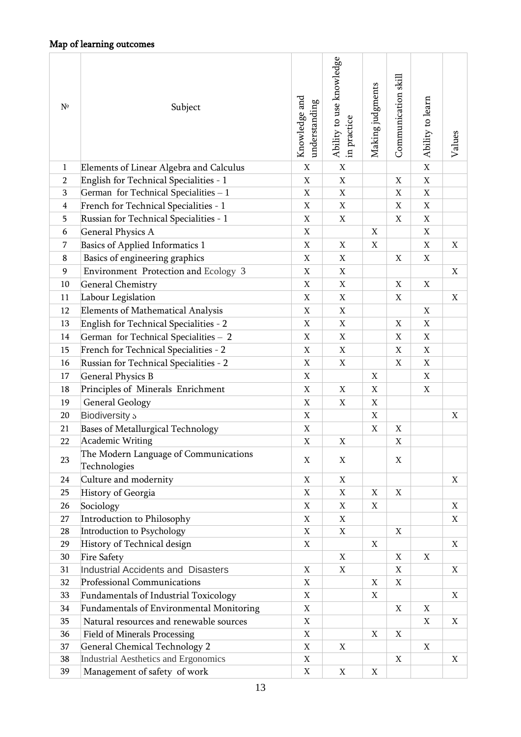| $N^{\circ}$    | Subject                                               | Knowledge and<br>understanding | Ability to use knowledge<br>in practice | Making judgments          | Communication skill | Ability to learn | Values |
|----------------|-------------------------------------------------------|--------------------------------|-----------------------------------------|---------------------------|---------------------|------------------|--------|
| $\mathbf{1}$   | Elements of Linear Algebra and Calculus               | $\mathbf X$                    | X                                       |                           |                     | $\mathbf X$      |        |
| $\overline{2}$ | English for Technical Specialities - 1                | X                              | X                                       |                           | Χ                   | X                |        |
| 3              | German for Technical Specialities - 1                 | $\mathbf X$                    | $\mathbf X$                             |                           | X                   | $\mathbf X$      |        |
| 4              | French for Technical Specialities - 1                 | X                              | X                                       |                           | X                   | X                |        |
| 5              | Russian for Technical Specialities - 1                | X                              | X                                       |                           | X                   | X                |        |
| 6              | <b>General Physics A</b>                              | X                              |                                         | X                         |                     | X                |        |
| 7              | Basics of Applied Informatics 1                       | $\mathbf X$                    | X                                       | $\boldsymbol{\mathrm{X}}$ |                     | X                | X      |
| 8              | Basics of engineering graphics                        | X                              | X                                       |                           | $\mathbf X$         | X                |        |
| 9              | Environment Protection and Ecology 3                  | $\mathbf X$                    | X                                       |                           |                     |                  | X      |
| 10             | <b>General Chemistry</b>                              | X                              | X                                       |                           | X                   | X                |        |
| 11             | Labour Legislation                                    | $\mathbf X$                    | X                                       |                           | X                   |                  | X      |
| 12             | <b>Elements of Mathematical Analysis</b>              | X                              | X                                       |                           |                     | X                |        |
| 13             | English for Technical Specialities - 2                | X                              | X                                       |                           | X                   | X                |        |
| 14             | German for Technical Specialities - 2                 | X                              | X                                       |                           | X                   | X                |        |
| 15             | French for Technical Specialities - 2                 | X                              | X                                       |                           | X                   | X                |        |
| 16             | Russian for Technical Specialities - 2                | X                              | X                                       |                           | X                   | X                |        |
| 17             | <b>General Physics B</b>                              | $\mathbf X$                    |                                         | X                         |                     | X                |        |
| 18             | Principles of Minerals Enrichment                     | X                              | X                                       | X                         |                     | X                |        |
| 19             | <b>General Geology</b>                                | X                              | X                                       | X                         |                     |                  |        |
| 20             | Biodiversity s                                        | X                              |                                         | X                         |                     |                  | X      |
| 21             | <b>Bases of Metallurgical Technology</b>              | X                              |                                         | X                         | X                   |                  |        |
| 22             | Academic Writing                                      | X                              | X                                       |                           | $\mathbf X$         |                  |        |
| 23             | The Modern Language of Communications<br>Technologies | X                              | X                                       |                           | X                   |                  |        |
| 24             | Culture and modernity                                 | X                              | X                                       |                           |                     |                  | X      |
| 25             | History of Georgia                                    | $\mathbf X$                    | $\mathbf X$                             | X                         | $\mathbf X$         |                  |        |
| 26             | Sociology                                             | X                              | X                                       | X                         |                     |                  | X      |
| 27             | Introduction to Philosophy                            | $\mathbf X$                    | X                                       |                           |                     |                  | X      |
| 28             | Introduction to Psychology                            | X                              | X                                       |                           | $\mathbf X$         |                  |        |
| 29             | History of Technical design                           | $\mathbf X$                    |                                         | X                         |                     |                  | X      |
| 30             | <b>Fire Safety</b>                                    |                                | $\mathbf X$                             |                           | $\mathbf X$         | X                |        |
| 31             | <b>Industrial Accidents and Disasters</b>             | X                              | X                                       |                           | X                   |                  | X      |
| 32             | Professional Communications                           | $\mathbf X$                    |                                         | X                         | $\mathbf X$         |                  |        |
| 33             | <b>Fundamentals of Industrial Toxicology</b>          | X                              |                                         | Χ                         |                     |                  | X      |
| 34             | <b>Fundamentals of Environmental Monitoring</b>       | $\mathbf X$                    |                                         |                           | $\mathbf X$         | X                |        |
| 35             | Natural resources and renewable sources               | X                              |                                         |                           |                     | X                | X      |
| 36             | <b>Field of Minerals Processing</b>                   | $\mathbf X$                    |                                         | X                         | $\mathbf X$         |                  |        |
| 37             | <b>General Chemical Technology 2</b>                  | X                              | X                                       |                           |                     | X                |        |
| 38             | <b>Industrial Aesthetics and Ergonomics</b>           | X                              |                                         |                           | X                   |                  | X      |
| 39             | Management of safety of work                          | $\mathbf X$                    | X                                       | X                         |                     |                  |        |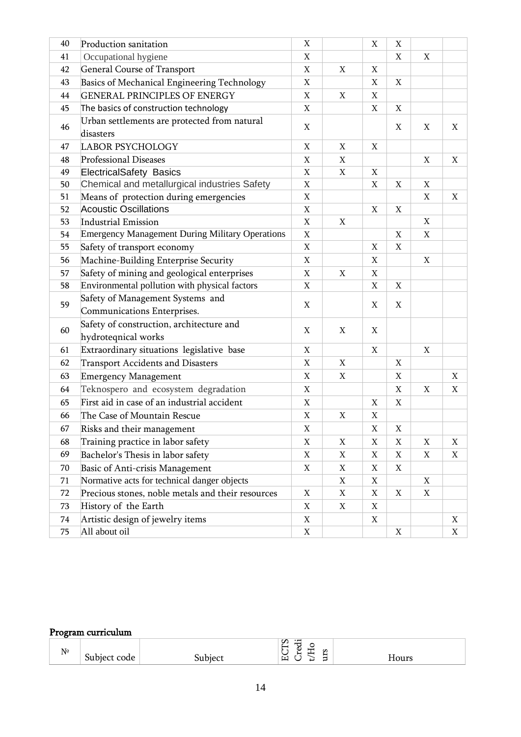| 40 | Production sanitation                                           | X           |             | $\mathbf X$ | $\mathbf X$               |             |             |
|----|-----------------------------------------------------------------|-------------|-------------|-------------|---------------------------|-------------|-------------|
| 41 | Occupational hygiene                                            | X           |             |             | X                         | X           |             |
| 42 | <b>General Course of Transport</b>                              | X           | X           | X           |                           |             |             |
| 43 | Basics of Mechanical Engineering Technology                     | X           |             | X           | X                         |             |             |
| 44 | <b>GENERAL PRINCIPLES OF ENERGY</b>                             | X           | $\mathbf X$ | X           |                           |             |             |
| 45 | The basics of construction technology                           | X           |             | X           | X                         |             |             |
| 46 | Urban settlements are protected from natural<br>disasters       | X           |             |             | X                         | X           | X           |
| 47 | <b>LABOR PSYCHOLOGY</b>                                         | X           | X           | X           |                           |             |             |
| 48 | Professional Diseases                                           | $\mathbf X$ | $\mathbf X$ |             |                           | $\mathbf X$ | X           |
| 49 | <b>ElectricalSafety Basics</b>                                  | X           | X           | X           |                           |             |             |
| 50 | Chemical and metallurgical industries Safety                    | X           |             | X           | X                         | X           |             |
| 51 | Means of protection during emergencies                          | X           |             |             |                           | X           | $\mathbf X$ |
| 52 | <b>Acoustic Oscillations</b>                                    | X           |             | $\mathbf X$ | $\boldsymbol{\mathrm{X}}$ |             |             |
| 53 | <b>Industrial Emission</b>                                      | X           | X           |             |                           | X           |             |
| 54 | <b>Emergency Management During Military Operations</b>          | $\mathbf X$ |             |             | $\mathbf X$               | $\mathbf X$ |             |
| 55 | Safety of transport economy                                     | X           |             | X           | X                         |             |             |
| 56 | Machine-Building Enterprise Security                            | X           |             | X           |                           | $\mathbf X$ |             |
| 57 | Safety of mining and geological enterprises                     | X           | X           | X           |                           |             |             |
| 58 | Environmental pollution with physical factors                   | $\mathbf X$ |             | $\mathbf X$ | $\mathbf X$               |             |             |
| 59 | Safety of Management Systems and<br>Communications Enterprises. | X           |             | $\mathbf X$ | $\mathbf X$               |             |             |
| 60 | Safety of construction, architecture and<br>hydroteqnical works | $\mathbf X$ | $\mathbf X$ | $\mathbf X$ |                           |             |             |
| 61 | Extraordinary situations legislative base                       | $\mathbf X$ |             | $\mathbf X$ |                           | X           |             |
| 62 | Transport Accidents and Disasters                               | X           | X           |             | X                         |             |             |
| 63 | <b>Emergency Management</b>                                     | X           | X           |             | X                         |             | X           |
| 64 | Teknospero and ecosystem degradation                            | X           |             |             | X                         | X           | X           |
| 65 | First aid in case of an industrial accident                     | X           |             | X           | X                         |             |             |
| 66 | The Case of Mountain Rescue                                     | X           | X           | X           |                           |             |             |
| 67 | Risks and their management                                      | $\mathbf X$ |             | $\mathbf X$ | $\mathbf X$               |             |             |
| 68 | Training practice in labor safety                               | X           | X           | X           | X                         | X           | X           |
| 69 | Bachelor's Thesis in labor safety                               | $\mathbf X$ | X           | X           | $\boldsymbol{\mathrm{X}}$ | X           | X           |
| 70 | Basic of Anti-crisis Management                                 | X           | X           | X           | X                         |             |             |
| 71 | Normative acts for technical danger objects                     |             | X           | X           |                           | X           |             |
| 72 | Precious stones, noble metals and their resources               | X           | X           | X           | $\mathbf X$               | X           |             |
| 73 | History of the Earth                                            | X           | X           | X           |                           |             |             |
| 74 | Artistic design of jewelry items                                | X           |             | X           |                           |             | X           |
| 75 | All about oil                                                   | $\mathbf X$ |             |             | $\boldsymbol{\mathrm{X}}$ |             | X           |

# Program curriculum

| -                             |      |                                    |      |
|-------------------------------|------|------------------------------------|------|
| $N^{\! \varrho}$<br><b>Uu</b> | coue | S<br>$\cdot$ $-$<br>56<br>◡<br>LT. | ____ |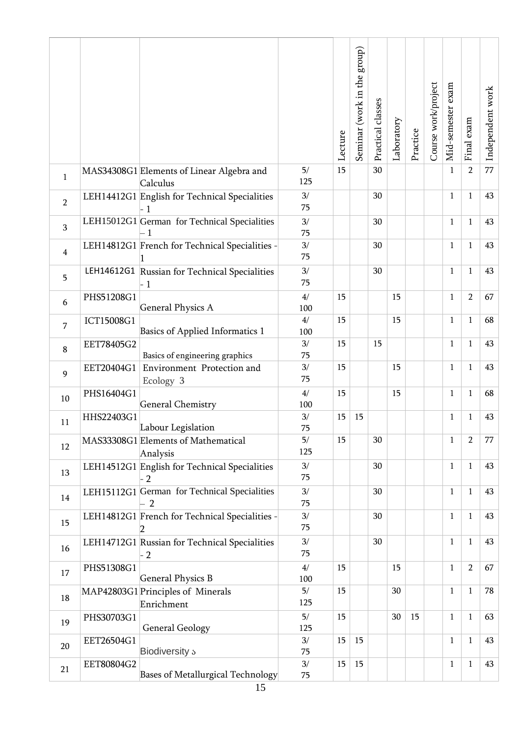|                |            |                                                                |                  | Lecture | group)<br>Seminar (work in the | Practical classes | Laboratory | Practice | Course work/project | exam<br>Mid-semester | Final exam     | Independent work |
|----------------|------------|----------------------------------------------------------------|------------------|---------|--------------------------------|-------------------|------------|----------|---------------------|----------------------|----------------|------------------|
| $\mathbf{1}$   |            | MAS34308G1 Elements of Linear Algebra and<br>Calculus          | 5/<br>125        | 15      |                                | 30                |            |          |                     | $\mathbf{1}$         | $\overline{2}$ | 77               |
| $\overline{2}$ |            | LEH14412G1 English for Technical Specialities<br>$-1$          | 3/<br>75         |         |                                | 30                |            |          |                     | $\mathbf{1}$         | $\mathbf{1}$   | 43               |
| 3              |            | LEH15012G1 German for Technical Specialities                   | 3/<br>75         |         |                                | 30                |            |          |                     | $\mathbf{1}$         | $\mathbf{1}$   | 43               |
| $\overline{4}$ |            | LEH14812G1 French for Technical Specialities -                 | 3/<br>75         |         |                                | 30                |            |          |                     | $\mathbf{1}$         | $\mathbf{1}$   | 43               |
| 5              |            | LEH14612G1 Russian for Technical Specialities<br>$\cdot$ 1     | 3/<br>75         |         |                                | 30                |            |          |                     | $\mathbf{1}$         | $\mathbf{1}$   | 43               |
| 6              | PHS51208G1 | <b>General Physics A</b>                                       | 4/<br>100        | 15      |                                |                   | 15         |          |                     | 1                    | $\overline{2}$ | 67               |
| 7              | ICT15008G1 | Basics of Applied Informatics 1                                | $4/$<br>100      | 15      |                                |                   | 15         |          |                     | $\mathbf{1}$         | $\mathbf{1}$   | 68               |
| 8              | EET78405G2 | Basics of engineering graphics                                 | 3/<br>75         | 15      |                                | 15                |            |          |                     | $\mathbf{1}$         | $\mathbf{1}$   | 43               |
| 9              | EET20404G1 | Environment Protection and<br>Ecology 3                        | 3/<br>75         | 15      |                                |                   | 15         |          |                     | $\mathbf{1}$         | $\mathbf{1}$   | 43               |
| 10             | PHS16404G1 | <b>General Chemistry</b>                                       | 4/<br>100        | 15      |                                |                   | 15         |          |                     | $\mathbf{1}$         | $\mathbf{1}$   | 68               |
| 11             | HHS22403G1 | Labour Legislation                                             | 3/<br>75         | 15      | 15                             |                   |            |          |                     | $\mathbf{1}$         | $\mathbf{1}$   | 43               |
| 12             |            | MAS33308G1 Elements of Mathematical<br>Analysis                | 5/<br>125        | 15      |                                | 30                |            |          |                     | $\mathbf{1}$         | $\overline{2}$ | 77               |
| 13             |            | LEH14512G1 English for Technical Specialities<br>2             | 3/<br>75         |         |                                | 30                |            |          |                     | $\mathbf{1}$         | $\mathbf{1}$   | 43               |
| 14             |            | LEH15112G1 German for Technical Specialities<br>$\overline{2}$ | 3/<br>75         |         |                                | 30                |            |          |                     | $\mathbf{1}$         | $\mathbf{1}$   | 43               |
| 15             |            | LEH14812G1 French for Technical Specialities -<br>2            | $3/$<br>75       |         |                                | 30                |            |          |                     | $\mathbf{1}$         | $\mathbf{1}$   | 43               |
| 16             |            | LEH14712G1 Russian for Technical Specialities<br>$\cdot$ 2     | 3/<br>75         |         |                                | 30                |            |          |                     | $\mathbf{1}$         | $\mathbf{1}$   | 43               |
| 17             | PHS51308G1 |                                                                | 4/               | 15      |                                |                   | 15         |          |                     | $\mathbf{1}$         | $\overline{2}$ | 67               |
| 18             |            | <b>General Physics B</b><br>MAP42803G1 Principles of Minerals  | 100<br>5/<br>125 | 15      |                                |                   | 30         |          |                     | $\mathbf{1}$         | $\mathbf{1}$   | 78               |
| 19             | PHS30703G1 | Enrichment                                                     | 5/               | 15      |                                |                   | $30\,$     | 15       |                     | $\mathbf{1}$         | $\mathbf{1}$   | 63               |
| $20\,$         | EET26504G1 | <b>General Geology</b>                                         | 125<br>3/        | 15      | 15                             |                   |            |          |                     | $\mathbf{1}$         | $\mathbf{1}$   | 43               |
| 21             | EET80804G2 | Biodiversity s<br>Bases of Metallurgical Technology            | 75<br>3/<br>75   | 15      | 15                             |                   |            |          |                     | $\mathbf{1}$         | $\mathbf{1}$   | 43               |
|                |            |                                                                |                  |         |                                |                   |            |          |                     |                      |                |                  |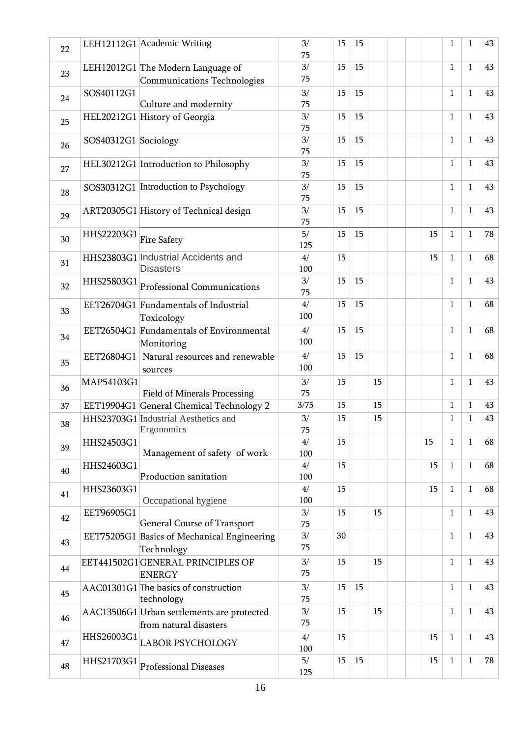| 22 |                      | LEH12112G1 Academic Writing                                                    | 3/<br>75  | 15 | 15 |    |  |    | $\mathbf{1}$ | $\mathbf{1}$ | 43 |
|----|----------------------|--------------------------------------------------------------------------------|-----------|----|----|----|--|----|--------------|--------------|----|
| 23 |                      | LEH12012G1 The Modern Language of<br>Communications Technologies               | 3/<br>75  | 15 | 15 |    |  |    | $\mathbf{1}$ | $\mathbf{1}$ | 43 |
| 24 | SOS40112G1           | Culture and modernity                                                          | 3/<br>75  | 15 | 15 |    |  |    | $\mathbf{1}$ | $\mathbf{1}$ | 43 |
| 25 |                      | HEL20212G1 History of Georgia                                                  | 3/<br>75  | 15 | 15 |    |  |    | $\mathbf{1}$ | $\mathbf{1}$ | 43 |
| 26 | SOS40312G1 Sociology |                                                                                | 3/<br>75  | 15 | 15 |    |  |    | $\mathbf{1}$ | $\mathbf{1}$ | 43 |
| 27 |                      | HEL30212G1 Introduction to Philosophy                                          | 3/<br>75  | 15 | 15 |    |  |    | $\mathbf{1}$ | $\mathbf{1}$ | 43 |
| 28 |                      | SOS30312G1 Introduction to Psychology                                          | 3/<br>75  | 15 | 15 |    |  |    | $\mathbf{1}$ | $\mathbf{1}$ | 43 |
| 29 |                      | ART20305G1 History of Technical design                                         | 3/<br>75  | 15 | 15 |    |  |    | $\mathbf{1}$ | $\mathbf{1}$ | 43 |
| 30 | HHS22203G1           | <b>Fire Safety</b>                                                             | 5/<br>125 | 15 | 15 |    |  | 15 | $\mathbf{1}$ | $\mathbf{1}$ | 78 |
| 31 |                      | HHS23803G1 Industrial Accidents and<br><b>Disasters</b>                        | 4/<br>100 | 15 |    |    |  | 15 | $\mathbf{1}$ | $\mathbf{1}$ | 68 |
| 32 |                      | $\mbox{HHS25803G1}\ensuremath{ _\text{Professional}\xspace}$<br>Communications | 3/<br>75  | 15 | 15 |    |  |    | $\mathbf{1}$ | $\mathbf{1}$ | 43 |
| 33 |                      | EET26704G1 Fundamentals of Industrial<br>Toxicology                            | 4/<br>100 | 15 | 15 |    |  |    | $\mathbf{1}$ | $\mathbf{1}$ | 68 |
| 34 |                      | EET26504G1 Fundamentals of Environmental<br>Monitoring                         | 4/<br>100 | 15 | 15 |    |  |    | $\mathbf{1}$ | $\mathbf{1}$ | 68 |
| 35 | EET26804G1           | Natural resources and renewable<br>sources                                     | 4/<br>100 | 15 | 15 |    |  |    | $\mathbf{1}$ | $\mathbf{1}$ | 68 |
| 36 | MAP54103G1           | <b>Field of Minerals Processing</b>                                            | 3/<br>75  | 15 |    | 15 |  |    | $\mathbf{1}$ | $\mathbf{1}$ | 43 |
| 37 |                      | EET19904G1 General Chemical Technology 2                                       | 3/75      | 15 |    | 15 |  |    | $\mathbf{1}$ | $\mathbf{1}$ | 43 |
| 38 |                      | HHS23703G1 Industrial Aesthetics and<br>Ergonomics                             | 3/<br>75  | 15 |    | 15 |  |    | $\mathbf{1}$ | $\mathbf{1}$ | 43 |
| 39 | HHS24503G1           | Management of safety of work                                                   | 4/<br>100 | 15 |    |    |  | 15 | $\mathbf{1}$ | $\mathbf{1}$ | 68 |
| 40 | HHS24603G1           | Production sanitation                                                          | 4/<br>100 | 15 |    |    |  | 15 | $\mathbf{1}$ | $\mathbf{1}$ | 68 |
| 41 | HHS23603G1           | Occupational hygiene                                                           | 4/<br>100 | 15 |    |    |  | 15 | 1            | $\mathbf{1}$ | 68 |
| 42 | EET96905G1           | <b>General Course of Transport</b>                                             | 3/<br>75  | 15 |    | 15 |  |    | $\mathbf{1}$ | $\mathbf{1}$ | 43 |
| 43 |                      | EET75205G1 Basics of Mechanical Engineering<br>Technology                      | 3/<br>75  | 30 |    |    |  |    | $\mathbf{1}$ | $\mathbf{1}$ | 43 |
| 44 |                      | EET441502G1GENERAL PRINCIPLES OF<br><b>ENERGY</b>                              | 3/<br>75  | 15 |    | 15 |  |    | $\mathbf{1}$ | $\mathbf{1}$ | 43 |
| 45 |                      | AAC01301G1 The basics of construction<br>technology                            | 3/<br>75  | 15 | 15 |    |  |    | $\mathbf{1}$ | $\mathbf{1}$ | 43 |
| 46 |                      | AAC13506G1 Urban settlements are protected<br>from natural disasters           | 3/<br>75  | 15 |    | 15 |  |    | $\mathbf{1}$ | $\mathbf{1}$ | 43 |
| 47 | HHS26003G1           | <b>LABOR PSYCHOLOGY</b>                                                        | 4/<br>100 | 15 |    |    |  | 15 | $\mathbf{1}$ | $\mathbf{1}$ | 43 |
| 48 | HHS21703G1           | <b>Professional Diseases</b>                                                   | 5/<br>125 | 15 | 15 |    |  | 15 | 1            | $\mathbf{1}$ | 78 |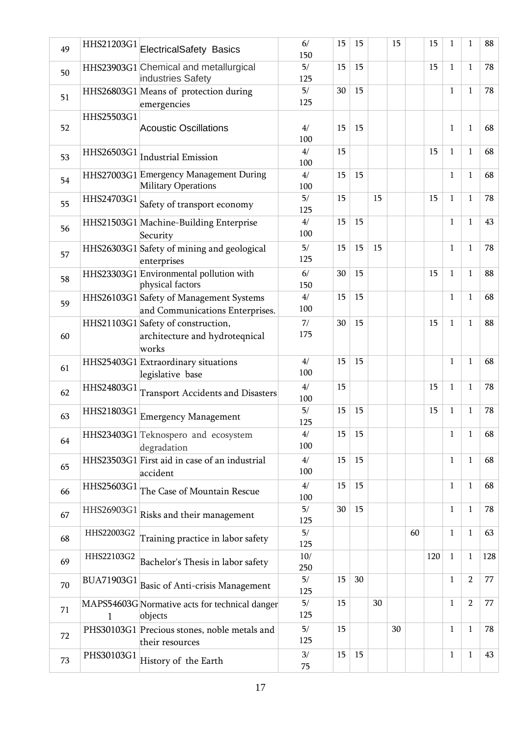| 49 |            | HHS21203G1 ElectricalSafety Basics                                            | 6/<br>150  | 15 | 15 |    | 15 |    | 15  | 1            | 1              | 88  |
|----|------------|-------------------------------------------------------------------------------|------------|----|----|----|----|----|-----|--------------|----------------|-----|
| 50 |            | HHS23903G1 Chemical and metallurgical<br>industries Safety                    | 5/<br>125  | 15 | 15 |    |    |    | 15  | $\mathbf{1}$ | $\mathbf{1}$   | 78  |
| 51 |            | HHS26803G1 Means of protection during<br>emergencies                          | 5/<br>125  | 30 | 15 |    |    |    |     | $\mathbf{1}$ | $\mathbf{1}$   | 78  |
| 52 | HHS25503G1 | <b>Acoustic Oscillations</b>                                                  | 4/<br>100  | 15 | 15 |    |    |    |     | 1            | $\mathbf{1}$   | 68  |
| 53 | HHS26503G1 | <b>Industrial Emission</b>                                                    | 4/<br>100  | 15 |    |    |    |    | 15  | $\mathbf{1}$ | $\mathbf{1}$   | 68  |
| 54 |            | HHS27003G1 Emergency Management During<br><b>Military Operations</b>          | 4/<br>100  | 15 | 15 |    |    |    |     | $\mathbf{1}$ | $\mathbf{1}$   | 68  |
| 55 | HHS24703G1 | Safety of transport economy                                                   | 5/<br>125  | 15 |    | 15 |    |    | 15  | $\mathbf{1}$ | $\mathbf{1}$   | 78  |
| 56 |            | HHS21503G1 Machine-Building Enterprise<br>Security                            | 4/<br>100  | 15 | 15 |    |    |    |     | $\mathbf{1}$ | $\mathbf{1}$   | 43  |
| 57 |            | HHS26303G1 Safety of mining and geological<br>enterprises                     | 5/<br>125  | 15 | 15 | 15 |    |    |     | $\mathbf{1}$ | $\mathbf{1}$   | 78  |
| 58 |            | HHS23303G1 Environmental pollution with<br>physical factors                   | 6/<br>150  | 30 | 15 |    |    |    | 15  | $\mathbf{1}$ | $\mathbf{1}$   | 88  |
| 59 |            | HHS26103G1 Safety of Management Systems<br>and Communications Enterprises.    | 4/<br>100  | 15 | 15 |    |    |    |     | $\mathbf{1}$ | $\mathbf{1}$   | 68  |
| 60 |            | HHS21103G1 Safety of construction,<br>architecture and hydroteqnical<br>works | 7/<br>175  | 30 | 15 |    |    |    | 15  | $\mathbf{1}$ | $\mathbf{1}$   | 88  |
| 61 |            | HHS25403G1 Extraordinary situations<br>legislative base                       | 4/<br>100  | 15 | 15 |    |    |    |     | $\mathbf{1}$ | $\mathbf{1}$   | 68  |
| 62 | HHS24803G1 | <b>Transport Accidents and Disasters</b>                                      | 4/<br>100  | 15 |    |    |    |    | 15  | $\mathbf{1}$ | $\mathbf{1}$   | 78  |
| 63 | HHS21803G1 | <b>Emergency Management</b>                                                   | 5/<br>125  | 15 | 15 |    |    |    | 15  | 1            | $\mathbf{1}$   | 78  |
| 64 |            | HHS23403G1 Teknospero and ecosystem<br>degradation                            | 4/<br>100  | 15 | 15 |    |    |    |     | $\mathbf{1}$ | $\mathbf{1}$   | 68  |
| 65 |            | HHS23503G1 First aid in case of an industrial<br>accident                     | 4/<br>100  | 15 | 15 |    |    |    |     | $\mathbf{1}$ | $\mathbf{1}$   | 68  |
| 66 |            | $\overline{\rm HHS25603G1}$ The Case of Mountain Rescue                       | 4/<br>100  | 15 | 15 |    |    |    |     | $\mathbf{1}$ | $\mathbf{1}$   | 68  |
| 67 | HHS26903G1 | Risks and their management                                                    | 5/<br>125  | 30 | 15 |    |    |    |     | $\mathbf{1}$ | $\mathbf{1}$   | 78  |
| 68 | HHS22003G2 | Training practice in labor safety                                             | 5/<br>125  |    |    |    |    | 60 |     | $\mathbf{1}$ | $\mathbf{1}$   | 63  |
| 69 | HHS22103G2 | Bachelor's Thesis in labor safety                                             | 10/<br>250 |    |    |    |    |    | 120 | $\mathbf{1}$ | $\mathbf{1}$   | 128 |
| 70 | BUA71903G1 | Basic of Anti-crisis Management                                               | 5/<br>125  | 15 | 30 |    |    |    |     | $\mathbf{1}$ | $\overline{2}$ | 77  |
| 71 | 1          | MAPS54603G Normative acts for technical danger<br>objects                     | 5/<br>125  | 15 |    | 30 |    |    |     | $\mathbf{1}$ | $\overline{2}$ | 77  |
| 72 |            | PHS30103G1 Precious stones, noble metals and<br>their resources               | 5/<br>125  | 15 |    |    | 30 |    |     | $\mathbf{1}$ | $\mathbf{1}$   | 78  |
| 73 | PHS30103G1 | History of the Earth                                                          | 3/<br>75   | 15 | 15 |    |    |    |     | $\mathbf{1}$ | $\mathbf{1}$   | 43  |